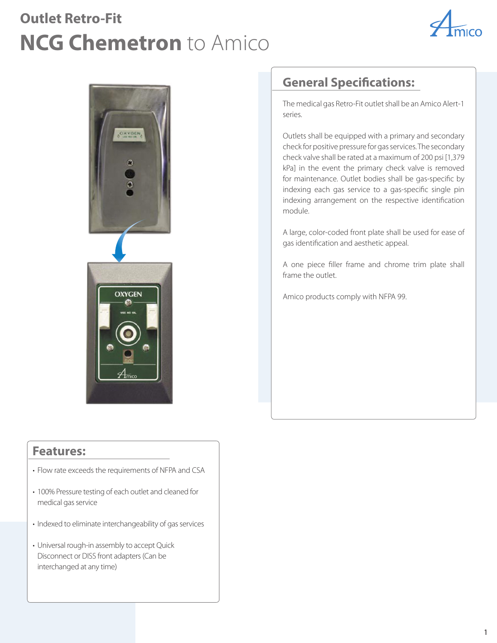## **Outlet Retro-Fit NCG Chemetron** to Amico





## **Features:**

- Flow rate exceeds the requirements of NFPA and CSA
- 100% Pressure testing of each outlet and cleaned for medical gas service
- Indexed to eliminate interchangeability of gas services
- Universal rough-in assembly to accept Quick Disconnect or DISS front adapters (Can be interchanged at any time)

## **General Specifications:**

The medical gas Retro-Fit outlet shall be an Amico Alert-1 series.

Outlets shall be equipped with a primary and secondary check for positive pressure for gas services. The secondary check valve shall be rated at a maximum of 200 psi [1,379 kPa] in the event the primary check valve is removed for maintenance. Outlet bodies shall be gas-specific by indexing each gas service to a gas-specific single pin indexing arrangement on the respective identification module.

A large, color-coded front plate shall be used for ease of gas identification and aesthetic appeal.

A one piece filler frame and chrome trim plate shall frame the outlet.

Amico products comply with NFPA 99.